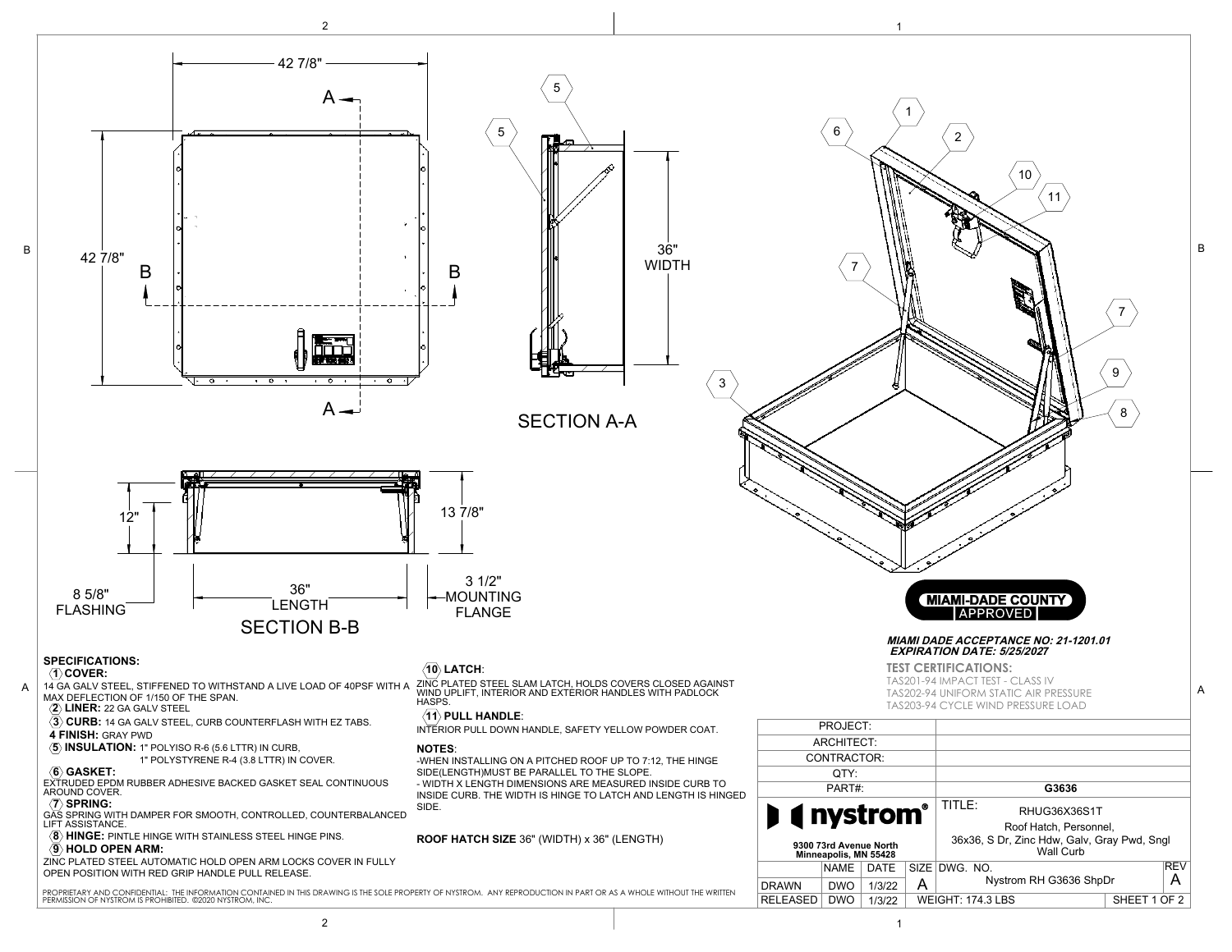

2 to the contract of  $\vert$  is the contract of  $\vert$  is the contract of  $\vert$  is the contract of  $\vert$  is the contract of  $\vert$  is the contract of  $\vert$  is the contract of  $\vert$  is the contract of  $\vert$  is the contract of  $\vert$  is